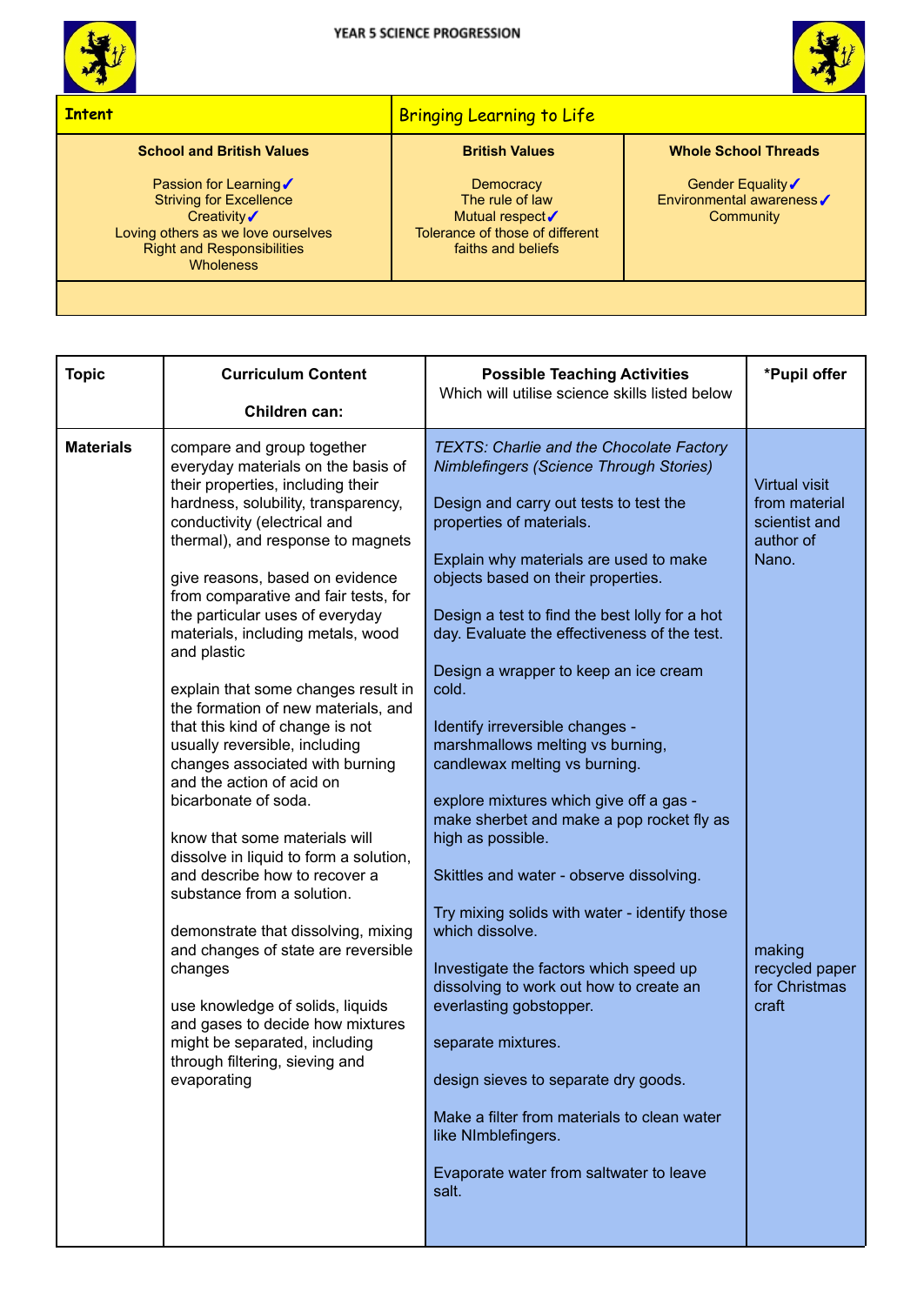



## **Intent** Bringing Learning to Life

## **School and British Values**

Passion for Learning√ Striving for Excellence Creativity√ Loving others as we love ourselves Right and Responsibilities **Wholeness** 

## **British Values**

**Democracy** The rule of law Mutual respect√ Tolerance of those of different faiths and beliefs

## **Whole School Threads**

Gender Equality√ Environmental awareness✓ **Community** 

| <b>Topic</b>     | <b>Curriculum Content</b>                                                                                                                                                                                                                                                                                                                                                                                                                                                                                                                                                                                                                                                                                                                                                                                                                                                                                                                                                                                                  | <b>Possible Teaching Activities</b><br>Which will utilise science skills listed below                                                                                                                                                                                                                                                                                                                                                                                                                                                                                                                                                                                                                                                                                                                                                                                                                                                                                                                                                                    | *Pupil offer                                                                                                                       |
|------------------|----------------------------------------------------------------------------------------------------------------------------------------------------------------------------------------------------------------------------------------------------------------------------------------------------------------------------------------------------------------------------------------------------------------------------------------------------------------------------------------------------------------------------------------------------------------------------------------------------------------------------------------------------------------------------------------------------------------------------------------------------------------------------------------------------------------------------------------------------------------------------------------------------------------------------------------------------------------------------------------------------------------------------|----------------------------------------------------------------------------------------------------------------------------------------------------------------------------------------------------------------------------------------------------------------------------------------------------------------------------------------------------------------------------------------------------------------------------------------------------------------------------------------------------------------------------------------------------------------------------------------------------------------------------------------------------------------------------------------------------------------------------------------------------------------------------------------------------------------------------------------------------------------------------------------------------------------------------------------------------------------------------------------------------------------------------------------------------------|------------------------------------------------------------------------------------------------------------------------------------|
|                  | Children can:                                                                                                                                                                                                                                                                                                                                                                                                                                                                                                                                                                                                                                                                                                                                                                                                                                                                                                                                                                                                              |                                                                                                                                                                                                                                                                                                                                                                                                                                                                                                                                                                                                                                                                                                                                                                                                                                                                                                                                                                                                                                                          |                                                                                                                                    |
| <b>Materials</b> | compare and group together<br>everyday materials on the basis of<br>their properties, including their<br>hardness, solubility, transparency,<br>conductivity (electrical and<br>thermal), and response to magnets<br>give reasons, based on evidence<br>from comparative and fair tests, for<br>the particular uses of everyday<br>materials, including metals, wood<br>and plastic<br>explain that some changes result in<br>the formation of new materials, and<br>that this kind of change is not<br>usually reversible, including<br>changes associated with burning<br>and the action of acid on<br>bicarbonate of soda.<br>know that some materials will<br>dissolve in liquid to form a solution,<br>and describe how to recover a<br>substance from a solution.<br>demonstrate that dissolving, mixing<br>and changes of state are reversible<br>changes<br>use knowledge of solids, liquids<br>and gases to decide how mixtures<br>might be separated, including<br>through filtering, sieving and<br>evaporating | <b>TEXTS: Charlie and the Chocolate Factory</b><br><b>Nimblefingers (Science Through Stories)</b><br>Design and carry out tests to test the<br>properties of materials.<br>Explain why materials are used to make<br>objects based on their properties.<br>Design a test to find the best lolly for a hot<br>day. Evaluate the effectiveness of the test.<br>Design a wrapper to keep an ice cream<br>cold.<br>Identify irreversible changes -<br>marshmallows melting vs burning,<br>candlewax melting vs burning.<br>explore mixtures which give off a gas -<br>make sherbet and make a pop rocket fly as<br>high as possible.<br>Skittles and water - observe dissolving.<br>Try mixing solids with water - identify those<br>which dissolve.<br>Investigate the factors which speed up<br>dissolving to work out how to create an<br>everlasting gobstopper.<br>separate mixtures.<br>design sieves to separate dry goods.<br>Make a filter from materials to clean water<br>like NImblefingers.<br>Evaporate water from saltwater to leave<br>salt. | <b>Virtual visit</b><br>from material<br>scientist and<br>author of<br>Nano.<br>making<br>recycled paper<br>for Christmas<br>craft |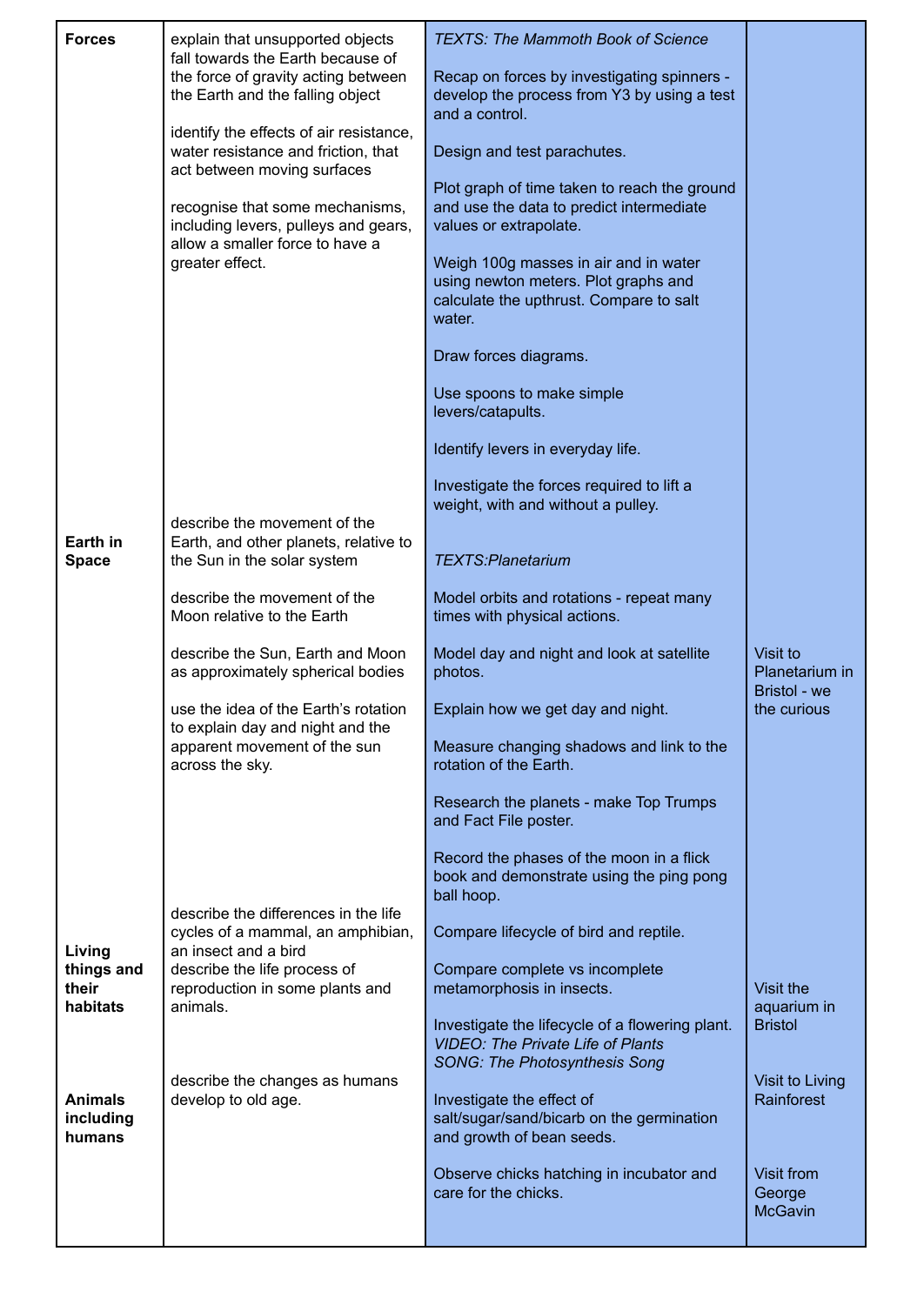| <b>Forces</b><br>Earth in<br><b>Space</b>                                          | explain that unsupported objects<br>fall towards the Earth because of<br>the force of gravity acting between<br>the Earth and the falling object<br>identify the effects of air resistance,<br>water resistance and friction, that<br>act between moving surfaces<br>recognise that some mechanisms,<br>including levers, pulleys and gears,<br>allow a smaller force to have a<br>greater effect.<br>describe the movement of the<br>Earth, and other planets, relative to<br>the Sun in the solar system | <b>TEXTS: The Mammoth Book of Science</b><br>Recap on forces by investigating spinners -<br>develop the process from Y3 by using a test<br>and a control.<br>Design and test parachutes.<br>Plot graph of time taken to reach the ground<br>and use the data to predict intermediate<br>values or extrapolate.<br>Weigh 100g masses in air and in water<br>using newton meters. Plot graphs and<br>calculate the upthrust. Compare to salt<br>water.<br>Draw forces diagrams.<br>Use spoons to make simple<br>levers/catapults.<br>Identify levers in everyday life.<br>Investigate the forces required to lift a<br>weight, with and without a pulley.<br><b>TEXTS:Planetarium</b> |                                            |  |
|------------------------------------------------------------------------------------|------------------------------------------------------------------------------------------------------------------------------------------------------------------------------------------------------------------------------------------------------------------------------------------------------------------------------------------------------------------------------------------------------------------------------------------------------------------------------------------------------------|-------------------------------------------------------------------------------------------------------------------------------------------------------------------------------------------------------------------------------------------------------------------------------------------------------------------------------------------------------------------------------------------------------------------------------------------------------------------------------------------------------------------------------------------------------------------------------------------------------------------------------------------------------------------------------------|--------------------------------------------|--|
|                                                                                    | describe the movement of the<br>Moon relative to the Earth                                                                                                                                                                                                                                                                                                                                                                                                                                                 | Model orbits and rotations - repeat many<br>times with physical actions.                                                                                                                                                                                                                                                                                                                                                                                                                                                                                                                                                                                                            |                                            |  |
|                                                                                    | describe the Sun, Earth and Moon<br>as approximately spherical bodies                                                                                                                                                                                                                                                                                                                                                                                                                                      | Model day and night and look at satellite<br>photos.                                                                                                                                                                                                                                                                                                                                                                                                                                                                                                                                                                                                                                | Visit to<br>Planetarium in                 |  |
|                                                                                    | use the idea of the Earth's rotation<br>to explain day and night and the<br>apparent movement of the sun<br>across the sky.                                                                                                                                                                                                                                                                                                                                                                                | Explain how we get day and night.<br>Measure changing shadows and link to the<br>rotation of the Earth.                                                                                                                                                                                                                                                                                                                                                                                                                                                                                                                                                                             | Bristol - we<br>the curious                |  |
|                                                                                    |                                                                                                                                                                                                                                                                                                                                                                                                                                                                                                            | Research the planets - make Top Trumps<br>and Fact File poster.                                                                                                                                                                                                                                                                                                                                                                                                                                                                                                                                                                                                                     |                                            |  |
|                                                                                    |                                                                                                                                                                                                                                                                                                                                                                                                                                                                                                            | Record the phases of the moon in a flick<br>book and demonstrate using the ping pong<br>ball hoop.                                                                                                                                                                                                                                                                                                                                                                                                                                                                                                                                                                                  |                                            |  |
| Living<br>things and<br>their<br>habitats<br><b>Animals</b><br>including<br>humans | describe the differences in the life<br>cycles of a mammal, an amphibian,<br>an insect and a bird<br>describe the life process of                                                                                                                                                                                                                                                                                                                                                                          | Compare lifecycle of bird and reptile.<br>Compare complete vs incomplete                                                                                                                                                                                                                                                                                                                                                                                                                                                                                                                                                                                                            |                                            |  |
|                                                                                    | reproduction in some plants and<br>animals.<br>describe the changes as humans<br>develop to old age.                                                                                                                                                                                                                                                                                                                                                                                                       | metamorphosis in insects.<br>Investigate the lifecycle of a flowering plant.<br><b>VIDEO: The Private Life of Plants</b>                                                                                                                                                                                                                                                                                                                                                                                                                                                                                                                                                            | Visit the<br>aquarium in<br><b>Bristol</b> |  |
|                                                                                    |                                                                                                                                                                                                                                                                                                                                                                                                                                                                                                            | <b>SONG: The Photosynthesis Song</b><br>Investigate the effect of<br>salt/sugar/sand/bicarb on the germination<br>and growth of bean seeds.                                                                                                                                                                                                                                                                                                                                                                                                                                                                                                                                         | Visit to Living<br>Rainforest              |  |
|                                                                                    |                                                                                                                                                                                                                                                                                                                                                                                                                                                                                                            | Observe chicks hatching in incubator and<br>care for the chicks.                                                                                                                                                                                                                                                                                                                                                                                                                                                                                                                                                                                                                    | Visit from<br>George<br><b>McGavin</b>     |  |